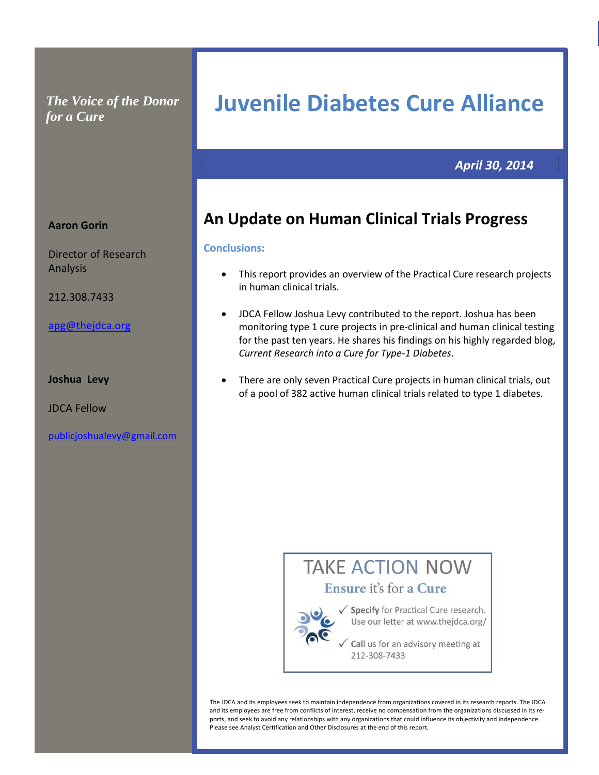*The Voice of the Donor for a Cure*

# **Juvenile Diabetes Cure Alliance**

**al Cure Pro Commercial Practical Cure Prospects spects Commercial Practical Cure Prospects**

# *April 30, 2014*

# **An Update on Human Clinical Trials Progress**

# **Conclusions:**

- This report provides an overview of the Practical Cure research projects in human clinical trials.
- JDCA Fellow Joshua Levy contributed to the report. Joshua has been monitoring type 1 cure projects in pre-clinical and human clinical testing for the past ten years. He shares his findings on his highly regarded blog, *Current Research into a Cure for Type-1 Diabetes*.
- There are only seven Practical Cure projects in human clinical trials, out of a pool of 382 active human clinical trials related to type 1 diabetes.



The JDCA and its employees seek to maintain independence from organizations covered in its research reports. The JDCA and its employees are free from conflicts of interest, receive no compensation from the organizations discussed in its reports, and seek to avoid any relationships with any organizations that could influence its objectivity and independence. Please see Analyst Certification and Other Disclosures at the end of this report.

# **Aaron Gorin**

Director of Research Analysis

212.308.7433

[apg@thejdca.org](mailto:apg@thejdca.org)

# **Joshua Levy**

JDCA Fellow

[publicjoshualevy@gmail.com](file:///C:/Users/Owner/Downloads/publicjoshualevy@gmail.com)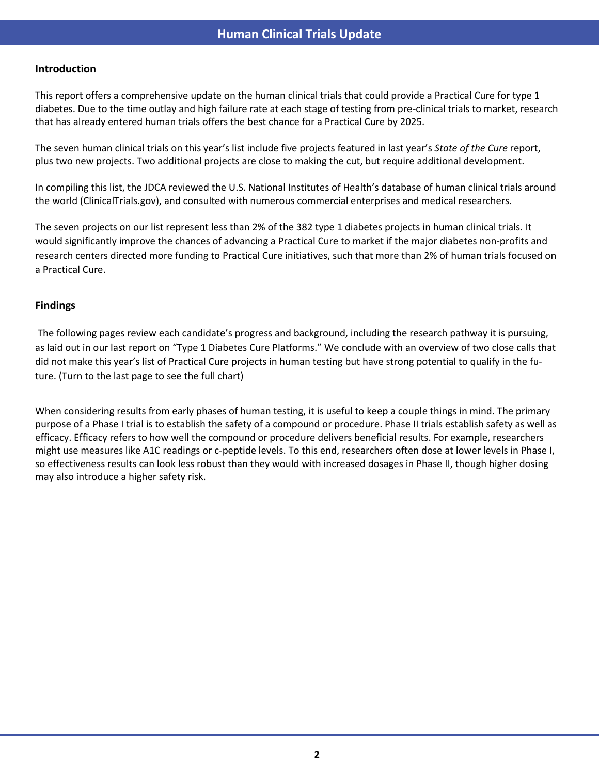### **Introduction**

This report offers a comprehensive update on the human clinical trials that could provide a Practical Cure for type 1 diabetes. Due to the time outlay and high failure rate at each stage of testing from pre-clinical trials to market, research that has already entered human trials offers the best chance for a Practical Cure by 2025.

The seven human clinical trials on this year's list include five projects featured in last year's *State of the Cure* report, plus two new projects. Two additional projects are close to making the cut, but require additional development.

In compiling this list, the JDCA reviewed the U.S. National Institutes of Health's database of human clinical trials around the world (ClinicalTrials.gov), and consulted with numerous commercial enterprises and medical researchers.

The seven projects on our list represent less than 2% of the 382 type 1 diabetes projects in human clinical trials. It would significantly improve the chances of advancing a Practical Cure to market if the major diabetes non-profits and research centers directed more funding to Practical Cure initiatives, such that more than 2% of human trials focused on a Practical Cure.

# **Findings**

The following pages review each candidate's progress and background, including the research pathway it is pursuing, as laid out in our last report on "Type 1 Diabetes Cure Platforms." We conclude with an overview of two close calls that did not make this year's list of Practical Cure projects in human testing but have strong potential to qualify in the future. (Turn to the last page to see the full chart)

When considering results from early phases of human testing, it is useful to keep a couple things in mind. The primary purpose of a Phase I trial is to establish the safety of a compound or procedure. Phase II trials establish safety as well as efficacy. Efficacy refers to how well the compound or procedure delivers beneficial results. For example, researchers might use measures like A1C readings or c-peptide levels. To this end, researchers often dose at lower levels in Phase I, so effectiveness results can look less robust than they would with increased dosages in Phase II, though higher dosing may also introduce a higher safety risk.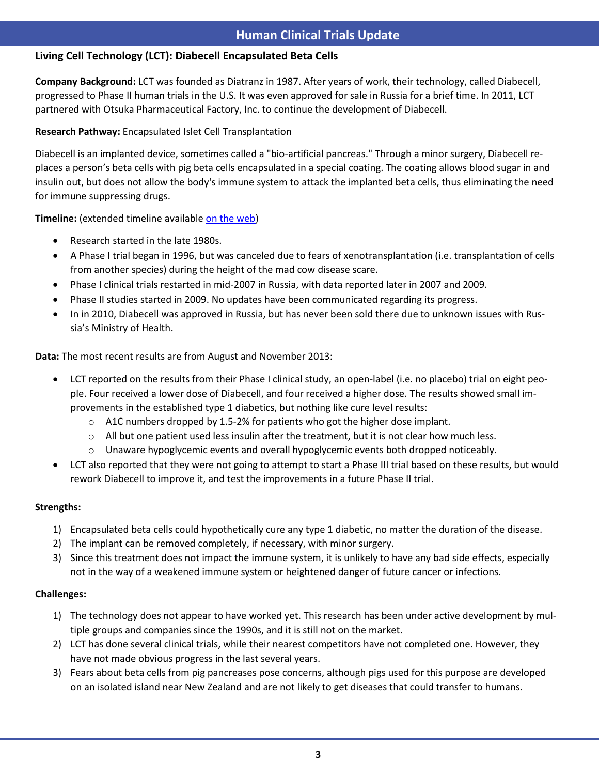# **Living Cell Technology (LCT): Diabecell Encapsulated Beta Cells**

**Company Background:** LCT was founded as Diatranz in 1987. After years of work, their technology, called Diabecell, progressed to Phase II human trials in the U.S. It was even approved for sale in Russia for a brief time. In 2011, LCT partnered with Otsuka Pharmaceutical Factory, Inc. to continue the development of Diabecell.

# **Research Pathway:** Encapsulated Islet Cell Transplantation

Diabecell is an implanted device, sometimes called a "bio-artificial pancreas." Through a minor surgery, Diabecell replaces a person's beta cells with pig beta cells encapsulated in a special coating. The coating allows blood sugar in and insulin out, but does not allow the body's immune system to attack the implanted beta cells, thus eliminating the need for immune suppressing drugs.

**Timeline:** (extended timeline available [on the web\)](http://cdn.knightlab.com/libs/timeline/latest/embed/index.html?source=0AgnCSepg2XrIdC1sWWpXNmc4ekFYTHYtUnlpZEJvNVE)

- Research started in the late 1980s.
- A Phase I trial began in 1996, but was canceled due to fears of xenotransplantation (i.e. transplantation of cells from another species) during the height of the mad cow disease scare.
- Phase I clinical trials restarted in mid-2007 in Russia, with data reported later in 2007 and 2009.
- Phase II studies started in 2009. No updates have been communicated regarding its progress.
- In in 2010, Diabecell was approved in Russia, but has never been sold there due to unknown issues with Russia's Ministry of Health.

**Data:** The most recent results are from August and November 2013:

- LCT reported on the results from their Phase I clinical study, an open-label (i.e. no placebo) trial on eight people. Four received a lower dose of Diabecell, and four received a higher dose. The results showed small improvements in the established type 1 diabetics, but nothing like cure level results:
	- $\circ$  A1C numbers dropped by 1.5-2% for patients who got the higher dose implant.
	- $\circ$  All but one patient used less insulin after the treatment, but it is not clear how much less.
	- $\circ$  Unaware hypoglycemic events and overall hypoglycemic events both dropped noticeably.
- LCT also reported that they were not going to attempt to start a Phase III trial based on these results, but would rework Diabecell to improve it, and test the improvements in a future Phase II trial.

# **Strengths:**

s

- 1) Encapsulated beta cells could hypothetically cure any type 1 diabetic, no matter the duration of the disease.
- 2) The implant can be removed completely, if necessary, with minor surgery.
- 3) Since this treatment does not impact the immune system, it is unlikely to have any bad side effects, especially not in the way of a weakened immune system or heightened danger of future cancer or infections.

- 1) The technology does not appear to have worked yet. This research has been under active development by multiple groups and companies since the 1990s, and it is still not on the market.
- 2) LCT has done several clinical trials, while their nearest competitors have not completed one. However, they have not made obvious progress in the last several years.
- 3) Fears about beta cells from pig pancreases pose concerns, although pigs used for this purpose are developed on an isolated island near New Zealand and are not likely to get diseases that could transfer to humans.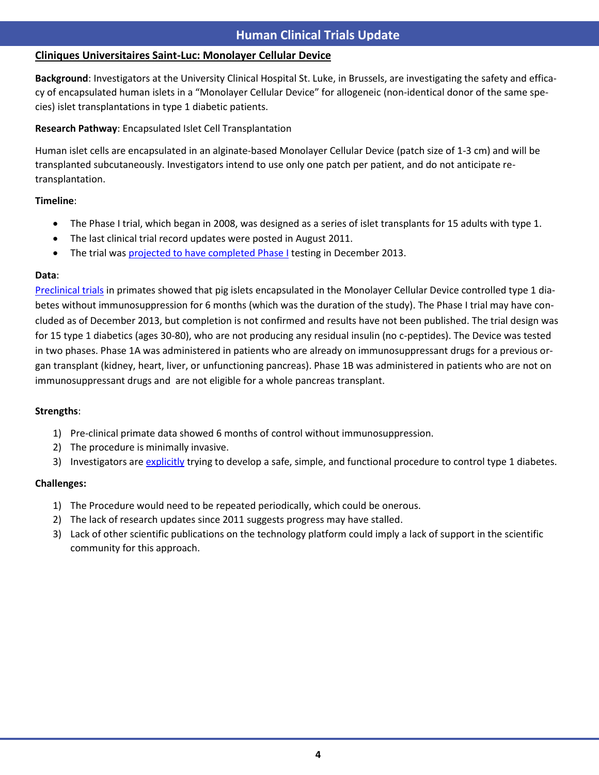# **Cliniques Universitaires Saint-Luc: Monolayer Cellular Device**

**spects Commercial Practical Cure Prospects Background**: Investigators at the University Clinical Hospital St. Luke, in Brussels, are investigating the safety and efficacy of encapsulated human islets in a "Monolayer Cellular Device" for allogeneic (non-identical donor of the same species) islet transplantations in type 1 diabetic patients.

**Research Pathway**: Encapsulated Islet Cell Transplantation

Human islet cells are encapsulated in an alginate-based Monolayer Cellular Device (patch size of 1-3 cm) and will be transplanted subcutaneously. Investigators intend to use only one patch per patient, and do not anticipate retransplantation.

# **Timeline**:

s

- The Phase I trial, which began in 2008, was designed as a series of islet transplants for 15 adults with type 1.
- The last clinical trial record updates were posted in August 2011.
- The trial was [projected to have completed Phase I](http://clinicaltrials.gov/ct2/show/NCT00790257) testing in December 2013.

# **Data**:

[Preclinical trials](http://www.ncbi.nlm.nih.gov/pubmed/20975626) in primates showed that pig islets encapsulated in the Monolayer Cellular Device controlled type 1 diabetes without immunosuppression for 6 months (which was the duration of the study). The Phase I trial may have concluded as of December 2013, but completion is not confirmed and results have not been published. The trial design was for 15 type 1 diabetics (ages 30-80), who are not producing any residual insulin (no c-peptides). The Device was tested in two phases. Phase 1A was administered in patients who are already on immunosuppressant drugs for a previous organ transplant (kidney, heart, liver, or unfunctioning pancreas). Phase 1B was administered in patients who are not on immunosuppressant drugs and are not eligible for a whole pancreas transplant.

# **Strengths**:

- 1) Pre-clinical primate data showed 6 months of control without immunosuppression.
- 2) The procedure is minimally invasive.
- 3) Investigators are [explicitly](http://www.biowin.org/Biowin/BioWin_Brochure%20Regenerative%20Medicine%20in%20Wallonia.pdf) trying to develop a safe, simple, and functional procedure to control type 1 diabetes.

- 1) The Procedure would need to be repeated periodically, which could be onerous.
- 2) The lack of research updates since 2011 suggests progress may have stalled.
- 3) Lack of other scientific publications on the technology platform could imply a lack of support in the scientific community for this approach.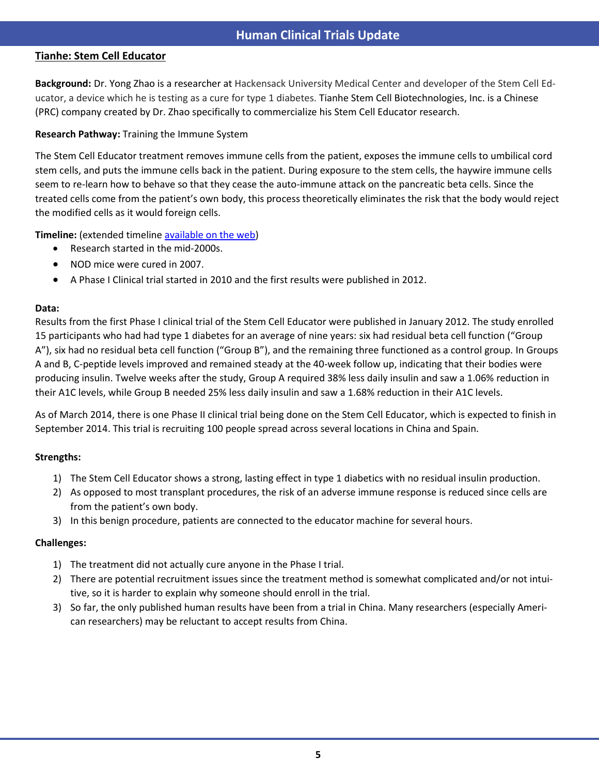# **Tianhe: Stem Cell Educator**

**Background:** Dr. Yong Zhao is a researcher at Hackensack University Medical Center and developer of the Stem Cell Educator, a device which he is testing as a cure for type 1 diabetes. Tianhe Stem Cell Biotechnologies, Inc. is a Chinese (PRC) company created by Dr. Zhao specifically to commercialize his Stem Cell Educator research.

# **Research Pathway:** Training the Immune System

The Stem Cell Educator treatment removes immune cells from the patient, exposes the immune cells to umbilical cord stem cells, and puts the immune cells back in the patient. During exposure to the stem cells, the haywire immune cells seem to re-learn how to behave so that they cease the auto-immune attack on the pancreatic beta cells. Since the treated cells come from the patient's own body, this process theoretically eliminates the risk that the body would reject the modified cells as it would foreign cells.

**Timeline:** (extended timeline [available on the web\)](http://cdn.knightlab.com/libs/timeline/latest/embed/index.html?source=0AgnCSepg2XrIdGVteDhSazFSLXlRYTdPMTlpalBXS0E)

- Research started in the mid-2000s.
- NOD mice were cured in 2007.
- A Phase I Clinical trial started in 2010 and the first results were published in 2012.

# **Data:**

s

Results from the first Phase I clinical trial of the Stem Cell Educator were published in January 2012. The study enrolled 15 participants who had had type 1 diabetes for an average of nine years: six had residual beta cell function ("Group A"), six had no residual beta cell function ("Group B"), and the remaining three functioned as a control group. In Groups A and B, C-peptide levels improved and remained steady at the 40-week follow up, indicating that their bodies were producing insulin. Twelve weeks after the study, Group A required 38% less daily insulin and saw a 1.06% reduction in their A1C levels, while Group B needed 25% less daily insulin and saw a 1.68% reduction in their A1C levels.

As of March 2014, there is one Phase II clinical trial being done on the Stem Cell Educator, which is expected to finish in September 2014. This trial is recruiting 100 people spread across several locations in China and Spain.

# **Strengths:**

- 1) The Stem Cell Educator shows a strong, lasting effect in type 1 diabetics with no residual insulin production.
- 2) As opposed to most transplant procedures, the risk of an adverse immune response is reduced since cells are from the patient's own body.
- 3) In this benign procedure, patients are connected to the educator machine for several hours.

- 1) The treatment did not actually cure anyone in the Phase I trial.
- 2) There are potential recruitment issues since the treatment method is somewhat complicated and/or not intuitive, so it is harder to explain why someone should enroll in the trial.
- 3) So far, the only published human results have been from a trial in China. Many researchers (especially American researchers) may be reluctant to accept results from China.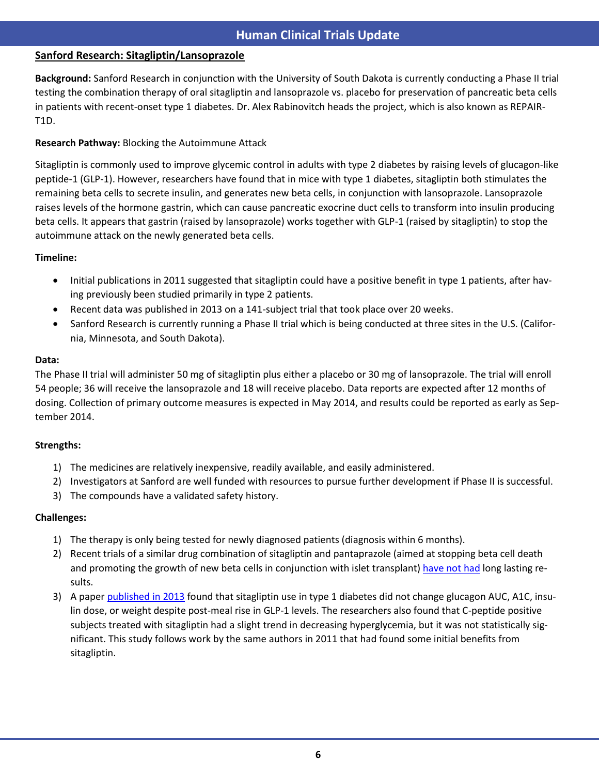# **Commercial Research: Sitagliptin/Lansoprazole**

**spects Commercial Practical Cure Prospects Background:** Sanford Research in conjunction with the University of South Dakota i[s currently conducting](http://clinicaltrials.gov/ct2/show/NCT01155284?term=repair+T1D&rank=1) a Phase II trial testing the combination therapy of oral sitagliptin and lansoprazole vs. placebo for preservation of pancreatic beta cells in patients with recent-onset type 1 diabetes. Dr. Alex Rabinovitch heads the project, which is also known as REPAIR-T1D.

# **Research Pathway:** Blocking the Autoimmune Attack

Sitagliptin is commonly used to improve glycemic control in adults with type 2 diabetes by raising levels of glucagon-like peptide-1 (GLP-1). However, researchers have found that in mice with type 1 diabetes, sitagliptin both stimulates the remaining beta cells to secrete insulin, and generates new beta cells, in conjunction with lansoprazole. Lansoprazole raises levels of the hormone gastrin, which can cause pancreatic exocrine duct cells to transform into insulin producing beta cells. It appears that gastrin (raised by lansoprazole) works together with GLP-1 (raised by sitagliptin) to stop the autoimmune attack on the newly generated beta cells.

# **Timeline:**

s

- Initial publications in 2011 suggested that sitagliptin could have a positive benefit in type 1 patients, after having previously been studied primarily in type 2 patients.
- Recent data was published in 2013 on a 141-subject trial that took place over 20 weeks.
- Sanford Research is currently running a Phase II trial which is being conducted at three sites in the U.S. (California, Minnesota, and South Dakota).

# **Data:**

The Phase II trial will administer 50 mg of sitagliptin plus either a placebo or 30 mg of lansoprazole. The trial will enroll 54 people; 36 will receive the lansoprazole and 18 will receive placebo. Data reports are expected after 12 months of dosing. Collection of primary outcome measures is expected in May 2014, and results could be reported as early as September 2014.

# **Strengths:**

- 1) The medicines are relatively inexpensive, readily available, and easily administered.
- 2) Investigators at Sanford are well funded with resources to pursue further development if Phase II is successful.
- 3) The compounds have a validated safety history.

- 1) The therapy is only being tested for newly diagnosed patients (diagnosis within 6 months).
- 2) Recent trials of a similar drug combination of sitagliptin and pantaprazole (aimed at stopping beta cell death and promoting the growth of new beta cells in conjunction with islet transplant) [have not had](http://jdrf.org/wp-content/uploads/2013/04/Top_Research_Highlights_Summer_2012.pdf) long lasting results.
- 3) A pape[r published in 2013](http://www.ncbi.nlm.nih.gov/pubmed/23186950) found that sitagliptin use in type 1 diabetes did not change glucagon AUC, A1C, insulin dose, or weight despite post-meal rise in GLP-1 levels. The researchers also found that C-peptide positive subjects treated with sitagliptin had a slight trend in decreasing hyperglycemia, but it was not statistically significant. This study follows work by the same authors in 2011 that had found some initial benefits from sitagliptin.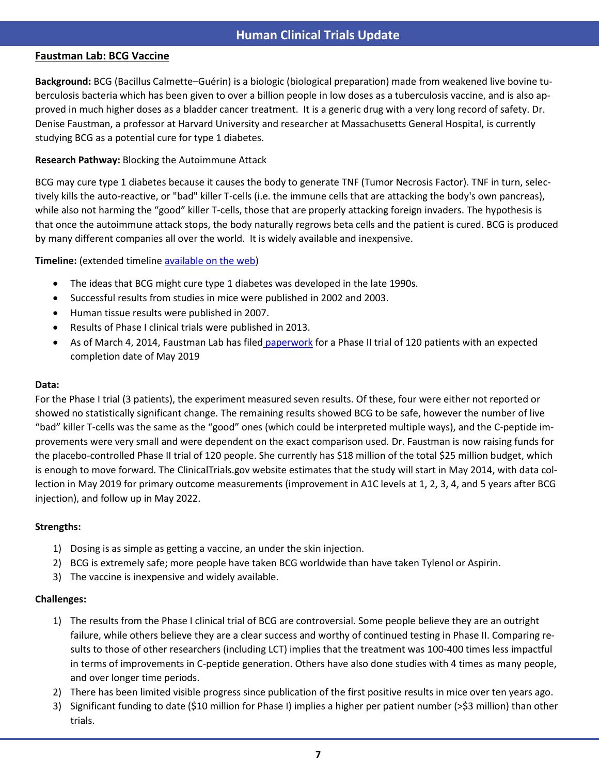# **Faustman Lab: BCG Vaccine**

s

**Background:** BCG (Bacillus Calmette–Guérin) is a biologic (biological preparation) made from weakened live bovine tuberculosis bacteria which has been given to over a billion people in low doses as a tuberculosis vaccine, and is also approved in much higher doses as a bladder cancer treatment. It is a generic drug with a very long record of safety. Dr. Denise Faustman, a professor at Harvard University and researcher at Massachusetts General Hospital, is currently studying BCG as a potential cure for type 1 diabetes.

# **Research Pathway:** Blocking the Autoimmune Attack

BCG may cure type 1 diabetes because it causes the body to generate TNF (Tumor Necrosis Factor). TNF in turn, selectively kills the auto-reactive, or "bad" killer T-cells (i.e. the immune cells that are attacking the body's own pancreas), while also not harming the "good" killer T-cells, those that are properly attacking foreign invaders. The hypothesis is that once the autoimmune attack stops, the body naturally regrows beta cells and the patient is cured. BCG is produced by many different companies all over the world. It is widely available and inexpensive.

# **Timeline:** (extended timeline [available on the web\)](http://cdn.knightlab.com/libs/timeline/latest/embed/index.html?source=0AgnCSepg2XrIdGNMY3FVTy1UTHc4WW1MaklhdUxaVkE)

- The ideas that BCG might cure type 1 diabetes was developed in the late 1990s.
- Successful results from studies in mice were published in 2002 and 2003.
- Human tissue results were published in 2007.
- Results of Phase I clinical trials were published in 2013.
- As of March 4, 2014, Faustman Lab has filed paperwork for a Phase II trial of 120 patients with an expected completion date of May 2019

### **Data:**

For the Phase I trial (3 patients), the experiment measured seven results. Of these, four were either not reported or showed no statistically significant change. The remaining results showed BCG to be safe, however the number of live "bad" killer T-cells was the same as the "good" ones (which could be interpreted multiple ways), and the C-peptide improvements were very small and were dependent on the exact comparison used. Dr. Faustman is now raising funds for the placebo-controlled Phase II trial of 120 people. She currently has \$18 million of the total \$25 million budget, which is enough to move forward. The ClinicalTrials.gov website estimates that the study will start in May 2014, with data collection in May 2019 for primary outcome measurements (improvement in A1C levels at 1, 2, 3, 4, and 5 years after BCG injection), and follow up in May 2022.

### **Strengths:**

- 1) Dosing is as simple as getting a vaccine, an under the skin injection.
- 2) BCG is extremely safe; more people have taken BCG worldwide than have taken Tylenol or Aspirin.
- 3) The vaccine is inexpensive and widely available.

- 1) The results from the Phase I clinical trial of BCG are controversial. Some people believe they are an outright failure, while others believe they are a clear success and worthy of continued testing in Phase II. Comparing results to those of other researchers (including LCT) implies that the treatment was 100-400 times less impactful in terms of improvements in C-peptide generation. Others have also done studies with 4 times as many people, and over longer time periods.
- 2) There has been limited visible progress since publication of the first positive results in mice over ten years ago.
- 3) Significant funding to date (\$10 million for Phase I) implies a higher per patient number (>\$3 million) than other trials.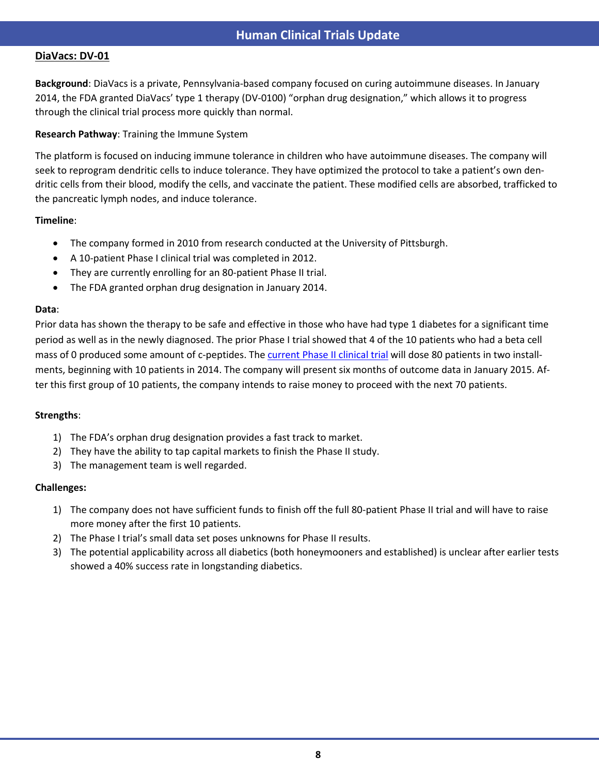# **DiaVacs: DV-01**

s

**Background**: DiaVacs is a private, Pennsylvania-based company focused on curing autoimmune diseases. In January 2014, the FDA granted DiaVacs' type 1 therapy (DV-0100) "orphan drug designation," which allows it to progress through the clinical trial process more quickly than normal.

# **Research Pathway**: Training the Immune System

The platform is focused on inducing immune tolerance in children who have autoimmune diseases. The company will seek to reprogram dendritic cells to induce tolerance. They have optimized the protocol to take a patient's own dendritic cells from their blood, modify the cells, and vaccinate the patient. These modified cells are absorbed, trafficked to the pancreatic lymph nodes, and induce tolerance.

# **Timeline**:

- The company formed in 2010 from research conducted at the University of Pittsburgh.
- A 10-patient Phase I clinical trial was completed in 2012.
- They are currently enrolling for an 80-patient Phase II trial.
- The FDA granted orphan drug designation in January 2014.

# **Data**:

Prior data has shown the therapy to be safe and effective in those who have had type 1 diabetes for a significant time period as well as in the newly diagnosed. The prior Phase I trial showed that 4 of the 10 patients who had a beta cell mass of 0 produced some amount of c-peptides. Th[e current Phase II clinical trial](http://www.clinicaltrials.gov/ct2/show/NCT01947569) will dose 80 patients in two installments, beginning with 10 patients in 2014. The company will present six months of outcome data in January 2015. After this first group of 10 patients, the company intends to raise money to proceed with the next 70 patients.

# **Strengths**:

- 1) The FDA's orphan drug designation provides a fast track to market.
- 2) They have the ability to tap capital markets to finish the Phase II study.
- 3) The management team is well regarded.

- 1) The company does not have sufficient funds to finish off the full 80-patient Phase II trial and will have to raise more money after the first 10 patients.
- 2) The Phase I trial's small data set poses unknowns for Phase II results.
- 3) The potential applicability across all diabetics (both honeymooners and established) is unclear after earlier tests showed a 40% success rate in longstanding diabetics.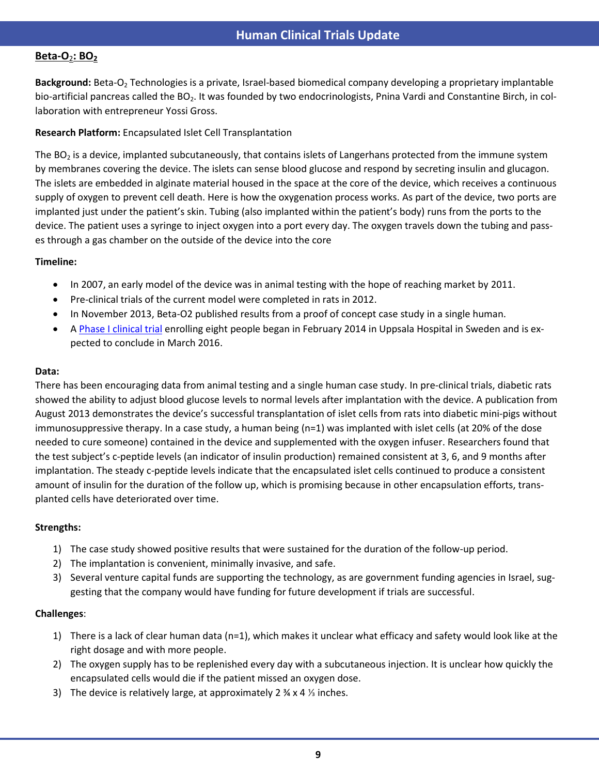# **Beta-O**2**: BO<sup>2</sup>**

s

**Background:** Beta-O<sup>2</sup> Technologies is a private, Israel-based biomedical company developing a proprietary implantable bio-artificial pancreas called the  $BO_2$ . It was founded by two endocrinologists, Pnina Vardi and Constantine Birch, in collaboration with entrepreneur Yossi Gross.

# **Research Platform:** Encapsulated Islet Cell Transplantation

The BO<sub>2</sub> is a device, implanted subcutaneously, that contains islets of Langerhans protected from the immune system by membranes covering the device. The islets can sense blood glucose and respond by secreting insulin and glucagon. The islets are embedded in alginate material housed in the space at the core of the device, which receives a continuous supply of oxygen to prevent cell death. Here is how the oxygenation process works. As part of the device, two ports are implanted just under the patient's skin. Tubing (also implanted within the patient's body) runs from the ports to the device. The patient uses a syringe to inject oxygen into a port every day. The oxygen travels down the tubing and passes through a gas chamber on the outside of the device into the core

# **Timeline:**

- In 2007, an early model of the device was in animal testing with the hope of reaching market by 2011.
- Pre-clinical trials of the current model were completed in rats in 2012.
- In November 2013, Beta-O2 published results from a proof of concept case study in a single human.
- A [Phase I clinical trial](http://clinicaltrials.gov/ct2/show/NCT02064309?term=NCT+02064309&rank=1) enrolling eight people began in February 2014 in Uppsala Hospital in Sweden and is expected to conclude in March 2016.

# **Data:**

There has been encouraging data from animal testing and a single human case study. In pre-clinical trials, diabetic rats showed the ability to adjust blood glucose levels to normal levels after implantation with the device. A publication from August 2013 demonstrates the device's successful transplantation of islet cells from rats into diabetic mini-pigs without immunosuppressive therapy. In a case study, a human being (n=1) was implanted with islet cells (at 20% of the dose needed to cure someone) contained in the device and supplemented with the oxygen infuser. Researchers found that the test subject's c-peptide levels (an indicator of insulin production) remained consistent at 3, 6, and 9 months after implantation. The steady c-peptide levels indicate that the encapsulated islet cells continued to produce a consistent amount of insulin for the duration of the follow up, which is promising because in other encapsulation efforts, transplanted cells have deteriorated over time.

# **Strengths:**

- 1) The case study showed positive results that were sustained for the duration of the follow-up period.
- 2) The implantation is convenient, minimally invasive, and safe.
- 3) Several venture capital funds are supporting the technology, as are government funding agencies in Israel, suggesting that the company would have funding for future development if trials are successful.

- 1) There is a lack of clear human data (n=1), which makes it unclear what efficacy and safety would look like at the right dosage and with more people.
- 2) The oxygen supply has to be replenished every day with a subcutaneous injection. It is unclear how quickly the encapsulated cells would die if the patient missed an oxygen dose.
- 3) The device is relatively large, at approximately 2 ¾ x 4 ⅓ inches.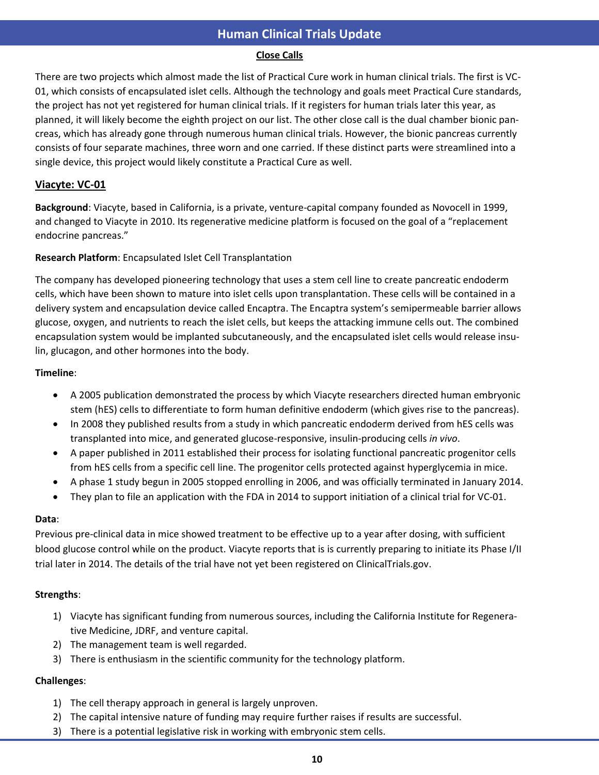# **Close Calls**

There are two projects which almost made the list of Practical Cure work in human clinical trials. The first is VC-01, which consists of encapsulated islet cells. Although the technology and goals meet Practical Cure standards, the project has not yet registered for human clinical trials. If it registers for human trials later this year, as planned, it will likely become the eighth project on our list. The other close call is the dual chamber bionic pancreas, which has already gone through numerous human clinical trials. However, the bionic pancreas currently consists of four separate machines, three worn and one carried. If these distinct parts were streamlined into a single device, this project would likely constitute a Practical Cure as well.

# **Viacyte: VC-01**

**Background**: Viacyte, based in California, is a private, venture-capital company founded as Novocell in 1999, and changed to Viacyte in 2010. Its regenerative medicine platform is focused on the goal of a "replacement endocrine pancreas."

# **Research Platform**: Encapsulated Islet Cell Transplantation

The company has developed pioneering technology that uses a stem cell line to create pancreatic endoderm cells, which have been shown to mature into islet cells upon transplantation. These cells will be contained in a delivery system and encapsulation device called Encaptra. The Encaptra system's semipermeable barrier allows glucose, oxygen, and nutrients to reach the islet cells, but keeps the attacking immune cells out. The combined encapsulation system would be implanted subcutaneously, and the encapsulated islet cells would release insulin, glucagon, and other hormones into the body.

# **Timeline**:

- A 2005 publication demonstrated the process by which Viacyte researchers directed human embryonic stem (hES) cells to differentiate to form human definitive endoderm (which gives rise to the pancreas).
- In 2008 they published results from a study in which pancreatic endoderm derived from hES cells was transplanted into mice, and generated glucose-responsive, insulin-producing cells *in vivo*.
- A paper published in 2011 established their process for isolating functional pancreatic progenitor cells from hES cells from a specific cell line. The progenitor cells protected against hyperglycemia in mice.
- A phase 1 study begun in 2005 stopped enrolling in 2006, and was officially terminated in January 2014.
- They plan to file an application with the FDA in 2014 to support initiation of a clinical trial for VC-01.

# **Data**:

Previous pre-clinical data in mice showed treatment to be effective up to a year after dosing, with sufficient blood glucose control while on the product. Viacyte reports that is is currently preparing to initiate its Phase I/II trial later in 2014. The details of the trial have not yet been registered on ClinicalTrials.gov.

# **Strengths**:

- 1) Viacyte has significant funding from numerous sources, including the California Institute for Regenerative Medicine, JDRF, and venture capital.
- 2) The management team is well regarded.
- 3) There is enthusiasm in the scientific community for the technology platform.

- 1) The cell therapy approach in general is largely unproven.
- 2) The capital intensive nature of funding may require further raises if results are successful.
- 3) There is a potential legislative risk in working with embryonic stem cells.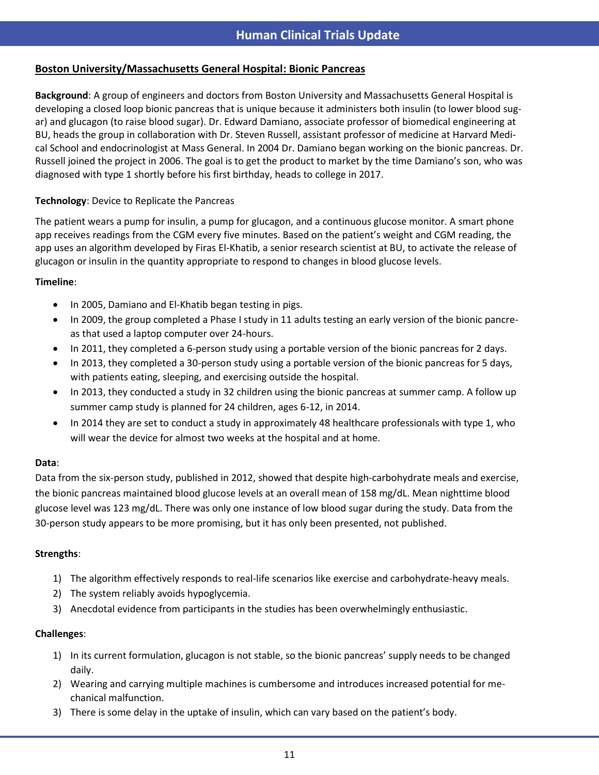# **Boston University/Massachusetts General Hospital: Bionic Pancreas**

**Background**: A group of engineers and doctors from Boston University and Massachusetts General Hospital is developing a closed loop bionic pancreas that is unique because it administers both insulin (to lower blood sugar) and glucagon (to raise blood sugar). Dr. Edward Damiano, associate professor of biomedical engineering at BU, heads the group in collaboration with Dr. Steven Russell, assistant professor of medicine at Harvard Medical School and endocrinologist at Mass General. In 2004 Dr. Damiano began working on the bionic pancreas. Dr. Russell joined the project in 2006. The goal is to get the product to market by the time Damiano's son, who was diagnosed with type 1 shortly before his first birthday, heads to college in 2017.

# **Technology**: Device to Replicate the Pancreas

The patient wears a pump for insulin, a pump for glucagon, and a continuous glucose monitor. A smart phone app receives readings from the CGM every five minutes. Based on the patient's weight and CGM reading, the app uses an algorithm developed by Firas El-Khatib, a senior research scientist at BU, to activate the release of glucagon or insulin in the quantity appropriate to respond to changes in blood glucose levels.

# **Timeline**:

s

- In 2005, Damiano and El-Khatib began testing in pigs.
- In 2009, the group completed a Phase I study in 11 adults testing an early version of the bionic pancreas that used a laptop computer over 24-hours.
- In 2011, they completed a 6-person study using a portable version of the bionic pancreas for 2 days.
- In 2013, they completed a 30-person study using a portable version of the bionic pancreas for 5 days, with patients eating, sleeping, and exercising outside the hospital.
- In 2013, they conducted a study in 32 children using the bionic pancreas at summer camp. A follow up summer camp study is planned for 24 children, ages 6-12, in 2014.
- In 2014 they are set to conduct a study in approximately 48 healthcare professionals with type 1, who will wear the device for almost two weeks at the hospital and at home.

# **Data**:

Data from the six-person study, published in 2012, showed that despite high-carbohydrate meals and exercise, the bionic pancreas maintained blood glucose levels at an overall mean of 158 mg/dL. Mean nighttime blood glucose level was 123 mg/dL. There was only one instance of low blood sugar during the study. Data from the 30-person study appears to be more promising, but it has only been presented, not published.

# **Strengths**:

- 1) The algorithm effectively responds to real-life scenarios like exercise and carbohydrate-heavy meals.
- 2) The system reliably avoids hypoglycemia.
- 3) Anecdotal evidence from participants in the studies has been overwhelmingly enthusiastic.

- 1) In its current formulation, glucagon is not stable, so the bionic pancreas' supply needs to be changed daily.
- 2) Wearing and carrying multiple machines is cumbersome and introduces increased potential for mechanical malfunction.
- 3) There is some delay in the uptake of insulin, which can vary based on the patient's body.